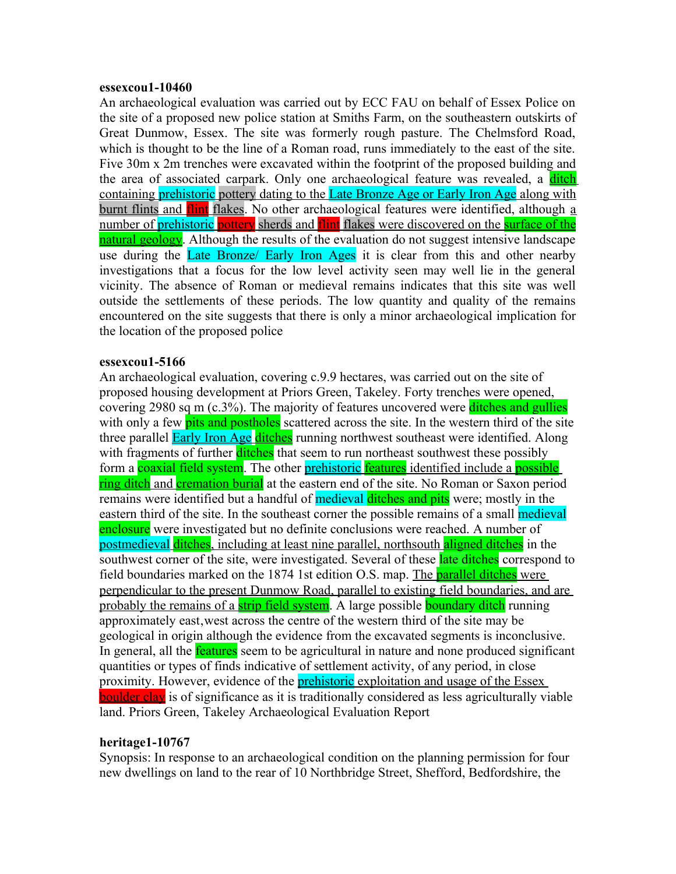### **essexcou1-10460**

An archaeological evaluation was carried out by ECC FAU on behalf of Essex Police on the site of a proposed new police station at Smiths Farm, on the southeastern outskirts of Great Dunmow, Essex. The site was formerly rough pasture. The Chelmsford Road, which is thought to be the line of a Roman road, runs immediately to the east of the site. Five 30m x 2m trenches were excavated within the footprint of the proposed building and the area of associated carpark. Only one archaeological feature was revealed, a **ditch** containing prehistoric pottery dating to the Late Bronze Age or Early Iron Age along with burnt flints and flint flakes. No other archaeological features were identified, although a number of prehistoric pottery sherds and flint flakes were discovered on the surface of the natural geology. Although the results of the evaluation do not suggest intensive landscape use during the Late Bronze/ Early Iron Ages it is clear from this and other nearby investigations that a focus for the low level activity seen may well lie in the general vicinity. The absence of Roman or medieval remains indicates that this site was well outside the settlements of these periods. The low quantity and quality of the remains encountered on the site suggests that there is only a minor archaeological implication for the location of the proposed police

## **essexcou1-5166**

An archaeological evaluation, covering c.9.9 hectares, was carried out on the site of proposed housing development at Priors Green, Takeley. Forty trenches were opened, covering 2980 sq m (c.3%). The majority of features uncovered were ditches and gullies with only a few pits and postholes scattered across the site. In the western third of the site three parallel Early Iron Age ditches running northwest southeast were identified. Along with fragments of further **ditches** that seem to run northeast southwest these possibly form a **coaxial field system**. The other **prehistoric features** identified include a **possible** ring ditch and cremation burial at the eastern end of the site. No Roman or Saxon period remains were identified but a handful of **medieval ditches and pits** were; mostly in the eastern third of the site. In the southeast corner the possible remains of a small medieval enclosure were investigated but no definite conclusions were reached. A number of postmedieval ditches, including at least nine parallel, northsouth aligned ditches in the southwest corner of the site, were investigated. Several of these late ditches correspond to field boundaries marked on the 1874 1st edition O.S. map. The parallel ditches were perpendicular to the present Dunmow Road, parallel to existing field boundaries, and are probably the remains of a strip field system. A large possible boundary ditch running approximately east, west across the centre of the western third of the site may be geological in origin although the evidence from the excavated segments is inconclusive. In general, all the **features** seem to be agricultural in nature and none produced significant quantities or types of finds indicative of settlement activity, of any period, in close proximity. However, evidence of the **prehistoric** exploitation and usage of the Essex boulder clay is of significance as it is traditionally considered as less agriculturally viable land. Priors Green, Takeley Archaeological Evaluation Report

## **heritage1-10767**

Synopsis: In response to an archaeological condition on the planning permission for four new dwellings on land to the rear of 10 Northbridge Street, Shefford, Bedfordshire, the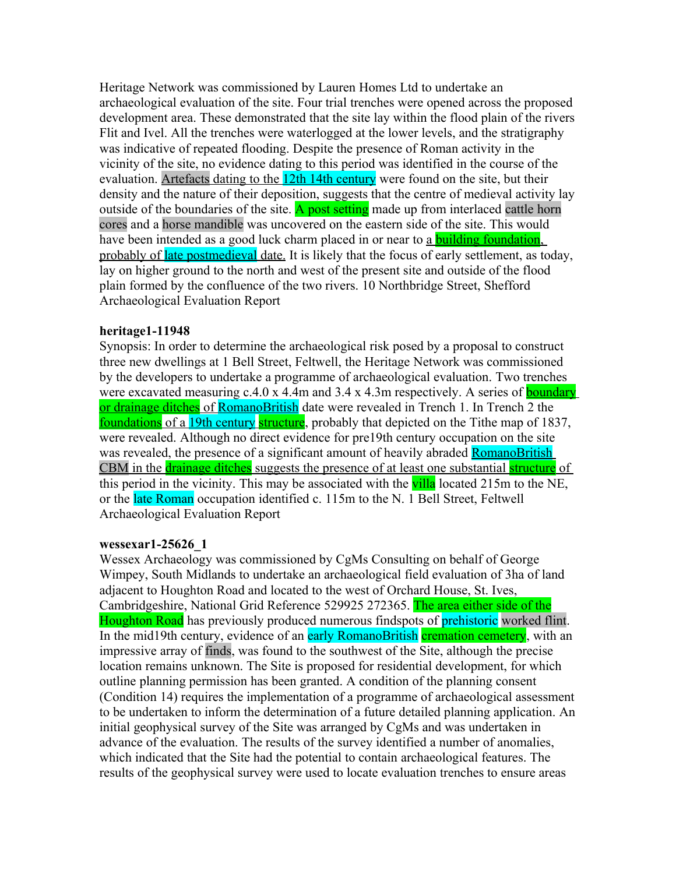Heritage Network was commissioned by Lauren Homes Ltd to undertake an archaeological evaluation of the site. Four trial trenches were opened across the proposed development area. These demonstrated that the site lay within the flood plain of the rivers Flit and Ivel. All the trenches were waterlogged at the lower levels, and the stratigraphy was indicative of repeated flooding. Despite the presence of Roman activity in the vicinity of the site, no evidence dating to this period was identified in the course of the evaluation. Artefacts dating to the 12th 14th century were found on the site, but their density and the nature of their deposition, suggests that the centre of medieval activity lay outside of the boundaries of the site. A post setting made up from interlaced cattle horn cores and a horse mandible was uncovered on the eastern side of the site. This would have been intended as a good luck charm placed in or near to a **building foundation**, probably of late postmedieval date. It is likely that the focus of early settlement, as today, lay on higher ground to the north and west of the present site and outside of the flood plain formed by the confluence of the two rivers. 10 Northbridge Street, Shefford Archaeological Evaluation Report

## **heritage1-11948**

Synopsis: In order to determine the archaeological risk posed by a proposal to construct three new dwellings at 1 Bell Street, Feltwell, the Heritage Network was commissioned by the developers to undertake a programme of archaeological evaluation. Two trenches were excavated measuring c.4.0 x 4.4m and 3.4 x 4.3m respectively. A series of **boundary** or drainage ditches of RomanoBritish date were revealed in Trench 1. In Trench 2 the foundations of a 19th century structure, probably that depicted on the Tithe map of 1837, were revealed. Although no direct evidence for pre19th century occupation on the site was revealed, the presence of a significant amount of heavily abraded **RomanoBritish** CBM in the **drainage ditches** suggests the presence of at least one substantial **structure** of this period in the vicinity. This may be associated with the villa located 215m to the NE, or the late Roman occupation identified c. 115m to the N. 1 Bell Street, Feltwell Archaeological Evaluation Report

## **wessexar1-25626\_1**

Wessex Archaeology was commissioned by CgMs Consulting on behalf of George Wimpey, South Midlands to undertake an archaeological field evaluation of 3ha of land adjacent to Houghton Road and located to the west of Orchard House, St. Ives, Cambridgeshire, National Grid Reference 529925 272365. The area either side of the Houghton Road has previously produced numerous findspots of prehistoric worked flint. In the mid19th century, evidence of an early RomanoBritish cremation cemetery, with an impressive array of finds, was found to the southwest of the Site, although the precise location remains unknown. The Site is proposed for residential development, for which outline planning permission has been granted. A condition of the planning consent (Condition 14) requires the implementation of a programme of archaeological assessment to be undertaken to inform the determination of a future detailed planning application. An initial geophysical survey of the Site was arranged by CgMs and was undertaken in advance of the evaluation. The results of the survey identified a number of anomalies, which indicated that the Site had the potential to contain archaeological features. The results of the geophysical survey were used to locate evaluation trenches to ensure areas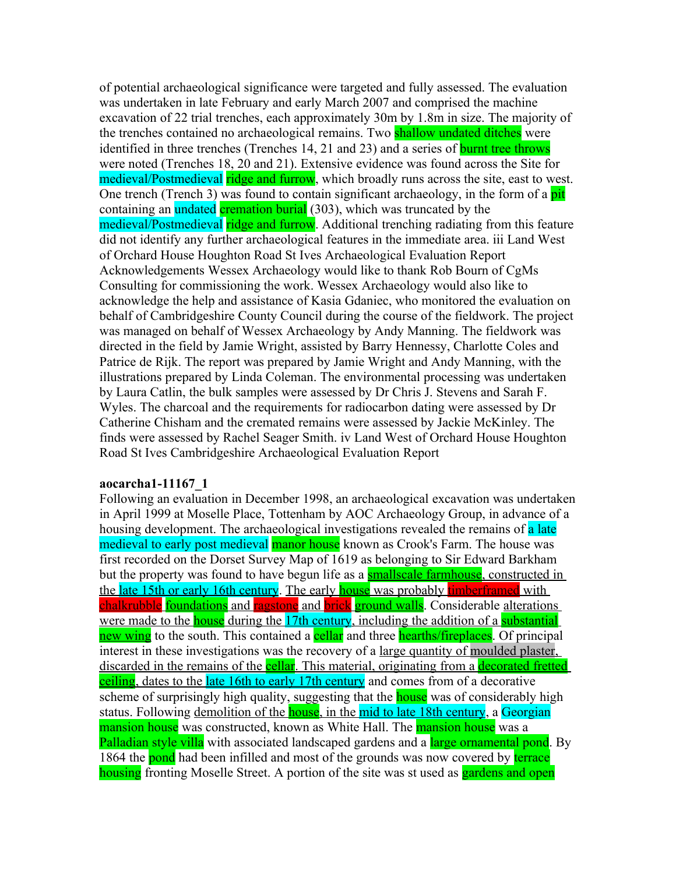of potential archaeological significance were targeted and fully assessed. The evaluation was undertaken in late February and early March 2007 and comprised the machine excavation of 22 trial trenches, each approximately 30m by 1.8m in size. The majority of the trenches contained no archaeological remains. Two **shallow undated ditches** were identified in three trenches (Trenches 14, 21 and 23) and a series of burnt tree throws were noted (Trenches 18, 20 and 21). Extensive evidence was found across the Site for medieval/Postmedieval ridge and furrow, which broadly runs across the site, east to west. One trench (Trench 3) was found to contain significant archaeology, in the form of a **pit** containing an undated cremation burial (303), which was truncated by the medieval/Postmedieval ridge and furrow. Additional trenching radiating from this feature did not identify any further archaeological features in the immediate area. iii Land West of Orchard House Houghton Road St Ives Archaeological Evaluation Report Acknowledgements Wessex Archaeology would like to thank Rob Bourn of CgMs Consulting for commissioning the work. Wessex Archaeology would also like to acknowledge the help and assistance of Kasia Gdaniec, who monitored the evaluation on behalf of Cambridgeshire County Council during the course of the fieldwork. The project was managed on behalf of Wessex Archaeology by Andy Manning. The fieldwork was directed in the field by Jamie Wright, assisted by Barry Hennessy, Charlotte Coles and Patrice de Rijk. The report was prepared by Jamie Wright and Andy Manning, with the illustrations prepared by Linda Coleman. The environmental processing was undertaken by Laura Catlin, the bulk samples were assessed by Dr Chris J. Stevens and Sarah F. Wyles. The charcoal and the requirements for radiocarbon dating were assessed by Dr Catherine Chisham and the cremated remains were assessed by Jackie McKinley. The finds were assessed by Rachel Seager Smith. iv Land West of Orchard House Houghton Road St Ives Cambridgeshire Archaeological Evaluation Report

#### **aocarcha1-11167\_1**

Following an evaluation in December 1998, an archaeological excavation was undertaken in April 1999 at Moselle Place, Tottenham by AOC Archaeology Group, in advance of a housing development. The archaeological investigations revealed the remains of a late medieval to early post medieval manor house known as Crook's Farm. The house was first recorded on the Dorset Survey Map of 1619 as belonging to Sir Edward Barkham but the property was found to have begun life as a **smallscale farmhouse**, constructed in the late 15th or early 16th century. The early house was probably timberframed with chalkrubble foundations and ragstone and brick ground walls. Considerable alterations were made to the **house** during the 17th century, including the addition of a **substantial** new wing to the south. This contained a **cellar** and three **hearths/fireplaces**. Of principal interest in these investigations was the recovery of a large quantity of moulded plaster, discarded in the remains of the **cellar**. This material, originating from a **decorated fretted** ceiling, dates to the late 16th to early 17th century and comes from of a decorative scheme of surprisingly high quality, suggesting that the **house** was of considerably high status. Following demolition of the **house**, in the mid to late 18th century, a Georgian mansion house was constructed, known as White Hall. The mansion house was a Palladian style villa with associated landscaped gardens and a large ornamental pond. By 1864 the **pond** had been infilled and most of the grounds was now covered by **terrace** housing fronting Moselle Street. A portion of the site was st used as **gardens and open**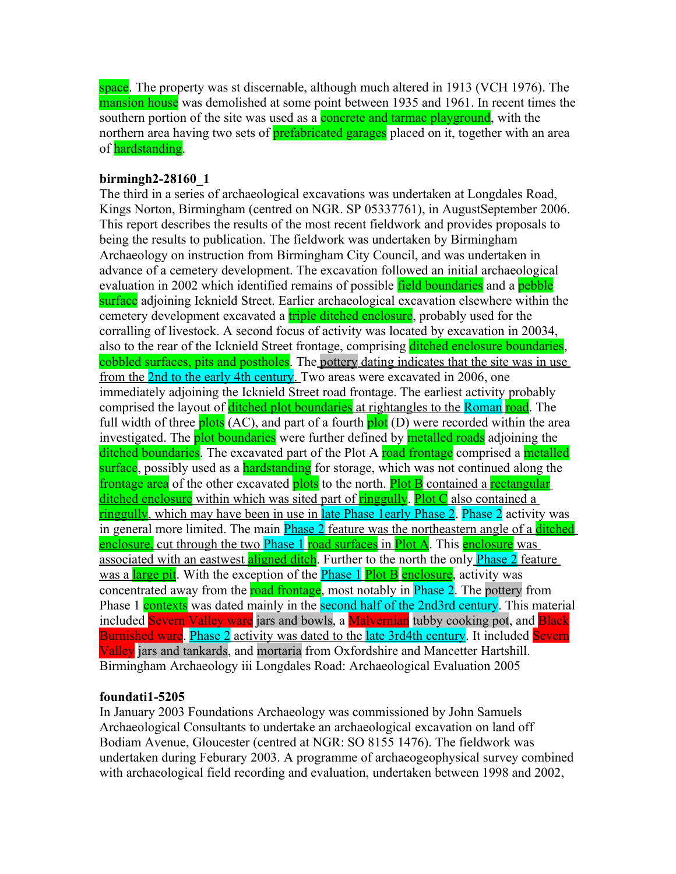space. The property was st discernable, although much altered in 1913 (VCH 1976). The mansion house was demolished at some point between 1935 and 1961. In recent times the southern portion of the site was used as a **concrete and tarmac playground**, with the northern area having two sets of **prefabricated garages** placed on it, together with an area of **hardstanding**.

# **birmingh2-28160\_1**

The third in a series of archaeological excavations was undertaken at Longdales Road, Kings Norton, Birmingham (centred on NGR. SP 05337761), in AugustSeptember 2006. This report describes the results of the most recent fieldwork and provides proposals to being the results to publication. The fieldwork was undertaken by Birmingham Archaeology on instruction from Birmingham City Council, and was undertaken in advance of a cemetery development. The excavation followed an initial archaeological evaluation in 2002 which identified remains of possible field boundaries and a pebble surface adjoining Icknield Street. Earlier archaeological excavation elsewhere within the cemetery development excavated a **triple ditched enclosure**, probably used for the corralling of livestock. A second focus of activity was located by excavation in 20034, also to the rear of the Icknield Street frontage, comprising ditched enclosure boundaries, cobbled surfaces, pits and postholes. The pottery dating indicates that the site was in use from the 2nd to the early 4th century. Two areas were excavated in 2006, one immediately adjoining the Icknield Street road frontage. The earliest activity probably comprised the layout of **ditched plot boundaries** at rightangles to the **Roman road**. The full width of three **plots** (AC), and part of a fourth **plot** (D) were recorded within the area investigated. The **plot boundaries** were further defined by **metalled roads** adjoining the ditched boundaries. The excavated part of the Plot A road frontage comprised a metalled surface, possibly used as a hardstanding for storage, which was not continued along the frontage area of the other excavated plots to the north. Plot B contained a rectangular ditched enclosure within which was sited part of ringgully. Plot C also contained a ringgully, which may have been in use in late Phase 1 early Phase 2. Phase 2 activity was in general more limited. The main **Phase 2** feature was the northeastern angle of a **ditched** enclosure, cut through the two Phase 1 road surfaces in Plot A. This enclosure was associated with an eastwest aligned ditch. Further to the north the only **Phase 2** feature was a large pit. With the exception of the **Phase 1** Plot B enclosure, activity was concentrated away from the road frontage, most notably in Phase 2. The pottery from Phase 1 contexts was dated mainly in the second half of the 2nd3rd century. This material included Severn Valley ware jars and bowls, a Malvernian tubby cooking pot, and Black Burnished ware. Phase 2 activity was dated to the late 3rd4th century. It included Severn Valley jars and tankards, and mortaria from Oxfordshire and Mancetter Hartshill. Birmingham Archaeology iii Longdales Road: Archaeological Evaluation 2005

# **foundati1-5205**

In January 2003 Foundations Archaeology was commissioned by John Samuels Archaeological Consultants to undertake an archaeological excavation on land off Bodiam Avenue, Gloucester (centred at NGR: SO 8155 1476). The fieldwork was undertaken during Feburary 2003. A programme of archaeogeophysical survey combined with archaeological field recording and evaluation, undertaken between 1998 and 2002,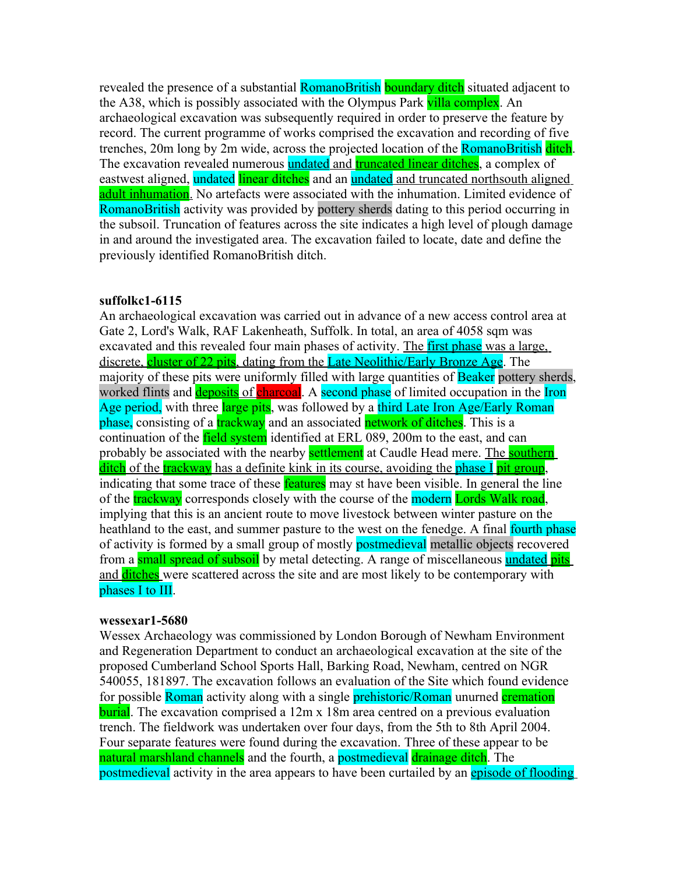revealed the presence of a substantial RomanoBritish boundary ditch situated adjacent to the A38, which is possibly associated with the Olympus Park villa complex. An archaeological excavation was subsequently required in order to preserve the feature by record. The current programme of works comprised the excavation and recording of five trenches, 20m long by 2m wide, across the projected location of the RomanoBritish ditch. The excavation revealed numerous **undated and truncated linear ditches**, a complex of eastwest aligned, undated linear ditches and an undated and truncated northsouth aligned adult inhumation. No artefacts were associated with the inhumation. Limited evidence of RomanoBritish activity was provided by pottery sherds dating to this period occurring in the subsoil. Truncation of features across the site indicates a high level of plough damage in and around the investigated area. The excavation failed to locate, date and define the previously identified RomanoBritish ditch.

## **suffolkc1-6115**

An archaeological excavation was carried out in advance of a new access control area at Gate 2, Lord's Walk, RAF Lakenheath, Suffolk. In total, an area of 4058 sqm was excavated and this revealed four main phases of activity. The first phase was a large, discrete, cluster of 22 pits, dating from the Late Neolithic/Early Bronze Age. The majority of these pits were uniformly filled with large quantities of **Beaker** pottery sherds, worked flints and **deposits** of **charcoal**. A second phase of limited occupation in the Iron Age period, with three large pits, was followed by a third Late Iron Age/Early Roman phase, consisting of a **trackway** and an associated **network of ditches**. This is a continuation of the **field system** identified at ERL 089, 200m to the east, and can probably be associated with the nearby **settlement** at Caudle Head mere. The **southern** ditch of the trackway has a definite kink in its course, avoiding the phase I pit group, indicating that some trace of these **features** may st have been visible. In general the line of the **trackway** corresponds closely with the course of the modern **Lords Walk road**, implying that this is an ancient route to move livestock between winter pasture on the heathland to the east, and summer pasture to the west on the fenedge. A final fourth phase of activity is formed by a small group of mostly **postmedieval** metallic objects recovered from a small spread of subsoil by metal detecting. A range of miscellaneous undated pits and ditches were scattered across the site and are most likely to be contemporary with phases I to III.

#### **wessexar1-5680**

Wessex Archaeology was commissioned by London Borough of Newham Environment and Regeneration Department to conduct an archaeological excavation at the site of the proposed Cumberland School Sports Hall, Barking Road, Newham, centred on NGR 540055, 181897. The excavation follows an evaluation of the Site which found evidence for possible Roman activity along with a single **prehistoric/Roman** unurned **cremation** burial. The excavation comprised a 12m x 18m area centred on a previous evaluation trench. The fieldwork was undertaken over four days, from the 5th to 8th April 2004. Four separate features were found during the excavation. Three of these appear to be natural marshland channels and the fourth, a postmedieval drainage ditch. The postmedieval activity in the area appears to have been curtailed by an episode of flooding